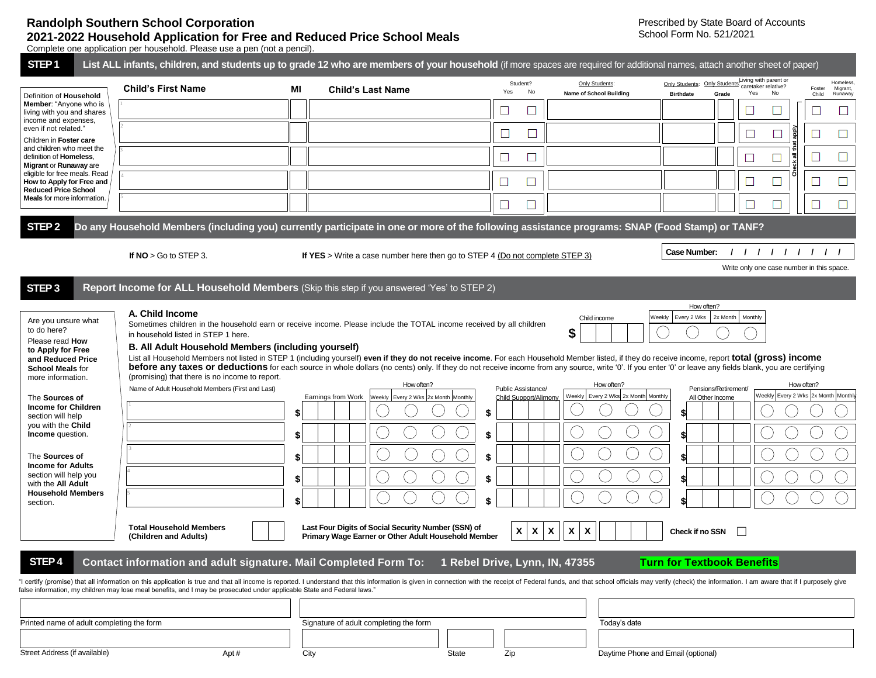## **Randolph Southern School Corporation 2021-2022 Household Application for Free and Reduced Price School Meals**

Complete one application per household. Please use a pen (not a pencil).

| STEP <sub>1</sub>                                                                                                                                                                                                                                                                                                                                                                                                                                                                                                                                                                                                                                                                                                                              |                                                                                                                                                                                                                            |          | List ALL infants, children, and students up to grade 12 who are members of your household (if more spaces are required for additional names, attach another sheet of paper)                                                                                                                                                                                                                                                                                                                                                                                                                                         |                                                    |                                                                         |                                                                                                                                                                                  |  |  |  |  |
|------------------------------------------------------------------------------------------------------------------------------------------------------------------------------------------------------------------------------------------------------------------------------------------------------------------------------------------------------------------------------------------------------------------------------------------------------------------------------------------------------------------------------------------------------------------------------------------------------------------------------------------------------------------------------------------------------------------------------------------------|----------------------------------------------------------------------------------------------------------------------------------------------------------------------------------------------------------------------------|----------|---------------------------------------------------------------------------------------------------------------------------------------------------------------------------------------------------------------------------------------------------------------------------------------------------------------------------------------------------------------------------------------------------------------------------------------------------------------------------------------------------------------------------------------------------------------------------------------------------------------------|----------------------------------------------------|-------------------------------------------------------------------------|----------------------------------------------------------------------------------------------------------------------------------------------------------------------------------|--|--|--|--|
| Definition of Household                                                                                                                                                                                                                                                                                                                                                                                                                                                                                                                                                                                                                                                                                                                        | <b>Child's First Name</b>                                                                                                                                                                                                  | MI       | <b>Child's Last Name</b>                                                                                                                                                                                                                                                                                                                                                                                                                                                                                                                                                                                            | Student?<br>Yes<br>No                              | Only Students:<br><b>Name of School Building</b>                        | Living with parent or<br>Homeless,<br>Only Students:<br>Only Students<br>caretaker relative?<br>Migrant,<br>Foster<br>Yes<br>No<br>Grade<br><b>Birthdate</b><br>Child<br>Runaway |  |  |  |  |
| Member: "Anyone who is<br>living with you and shares                                                                                                                                                                                                                                                                                                                                                                                                                                                                                                                                                                                                                                                                                           |                                                                                                                                                                                                                            |          |                                                                                                                                                                                                                                                                                                                                                                                                                                                                                                                                                                                                                     | $\mathbb{Z}^2$                                     |                                                                         | $\overline{\phantom{a}}$                                                                                                                                                         |  |  |  |  |
| income and expenses,<br>even if not related."<br>Children in Foster care<br>and children who meet the<br>definition of Homeless,<br>Migrant or Runaway are<br>eligible for free meals. Read                                                                                                                                                                                                                                                                                                                                                                                                                                                                                                                                                    |                                                                                                                                                                                                                            |          |                                                                                                                                                                                                                                                                                                                                                                                                                                                                                                                                                                                                                     | $\Box$<br>∟                                        |                                                                         | Îdde                                                                                                                                                                             |  |  |  |  |
|                                                                                                                                                                                                                                                                                                                                                                                                                                                                                                                                                                                                                                                                                                                                                |                                                                                                                                                                                                                            |          |                                                                                                                                                                                                                                                                                                                                                                                                                                                                                                                                                                                                                     |                                                    |                                                                         | all the                                                                                                                                                                          |  |  |  |  |
|                                                                                                                                                                                                                                                                                                                                                                                                                                                                                                                                                                                                                                                                                                                                                |                                                                                                                                                                                                                            |          |                                                                                                                                                                                                                                                                                                                                                                                                                                                                                                                                                                                                                     | $\Box$                                             |                                                                         | $\Box$<br>$\Box$                                                                                                                                                                 |  |  |  |  |
| How to Apply for Free and<br><b>Reduced Price School</b>                                                                                                                                                                                                                                                                                                                                                                                                                                                                                                                                                                                                                                                                                       |                                                                                                                                                                                                                            |          |                                                                                                                                                                                                                                                                                                                                                                                                                                                                                                                                                                                                                     | $\Box$                                             |                                                                         | $\Box$<br>$\Box$                                                                                                                                                                 |  |  |  |  |
| Meals for more information.                                                                                                                                                                                                                                                                                                                                                                                                                                                                                                                                                                                                                                                                                                                    |                                                                                                                                                                                                                            |          |                                                                                                                                                                                                                                                                                                                                                                                                                                                                                                                                                                                                                     | ⊔                                                  |                                                                         | $\Box$<br>$\Box$<br>$\Box$                                                                                                                                                       |  |  |  |  |
| STEP <sub>2</sub>                                                                                                                                                                                                                                                                                                                                                                                                                                                                                                                                                                                                                                                                                                                              |                                                                                                                                                                                                                            |          | Do any Household Members (including you) currently participate in one or more of the following assistance programs: SNAP (Food Stamp) or TANF?                                                                                                                                                                                                                                                                                                                                                                                                                                                                      |                                                    |                                                                         |                                                                                                                                                                                  |  |  |  |  |
|                                                                                                                                                                                                                                                                                                                                                                                                                                                                                                                                                                                                                                                                                                                                                | If $NO > Go$ to STEP 3.                                                                                                                                                                                                    |          | If YES > Write a case number here then go to STEP 4 (Do not complete STEP 3)                                                                                                                                                                                                                                                                                                                                                                                                                                                                                                                                        |                                                    |                                                                         | Case Number:<br>111111111                                                                                                                                                        |  |  |  |  |
|                                                                                                                                                                                                                                                                                                                                                                                                                                                                                                                                                                                                                                                                                                                                                |                                                                                                                                                                                                                            |          |                                                                                                                                                                                                                                                                                                                                                                                                                                                                                                                                                                                                                     |                                                    |                                                                         | Write only one case number in this space.                                                                                                                                        |  |  |  |  |
| STEP <sub>3</sub>                                                                                                                                                                                                                                                                                                                                                                                                                                                                                                                                                                                                                                                                                                                              |                                                                                                                                                                                                                            |          | Report Income for ALL Household Members (Skip this step if you answered 'Yes' to STEP 2)                                                                                                                                                                                                                                                                                                                                                                                                                                                                                                                            |                                                    |                                                                         |                                                                                                                                                                                  |  |  |  |  |
| Are you unsure what<br>to do here?<br>Please read How<br>to Apply for Free<br>and Reduced Price<br><b>School Meals for</b><br>more information.<br>The Sources of<br><b>Income for Children</b>                                                                                                                                                                                                                                                                                                                                                                                                                                                                                                                                                | A. Child Income<br>in household listed in STEP 1 here.<br><b>B. All Adult Household Members (including yourself)</b><br>(promising) that there is no income to report.<br>Name of Adult Household Members (First and Last) |          | Sometimes children in the household earn or receive income. Please include the TOTAL income received by all children<br>List all Household Members not listed in STEP 1 (including yourself) even if they do not receive income. For each Household Member listed, if they do receive income, report total (gross) income<br>before any taxes or deductions for each source in whole dollars (no cents) only. If they do not receive income from any source, write '0'. If you enter '0' or leave any fields blank, you are certifying<br>How often?<br>Earnings from Work<br>Weekly   Every 2 Wks 2x Month Monthly | Public Assistance/<br><b>Child Support/Alimony</b> | Child income<br>\$<br>How often?<br>Weekly Every 2 Wks 2x Month Monthly | How often?<br>Weekly   Every 2 Wks   2x Month<br>Monthly<br>How often?<br>Pensions/Retirement/<br>Weekly Every 2 Wks 2x Month Monthly<br>All Other Income                        |  |  |  |  |
| section will help<br>you with the Child<br>Income question.                                                                                                                                                                                                                                                                                                                                                                                                                                                                                                                                                                                                                                                                                    |                                                                                                                                                                                                                            | \$<br>\$ |                                                                                                                                                                                                                                                                                                                                                                                                                                                                                                                                                                                                                     | \$<br>\$                                           |                                                                         | \$                                                                                                                                                                               |  |  |  |  |
| The Sources of                                                                                                                                                                                                                                                                                                                                                                                                                                                                                                                                                                                                                                                                                                                                 |                                                                                                                                                                                                                            | \$       |                                                                                                                                                                                                                                                                                                                                                                                                                                                                                                                                                                                                                     |                                                    |                                                                         |                                                                                                                                                                                  |  |  |  |  |
| <b>Income for Adults</b><br>section will help you                                                                                                                                                                                                                                                                                                                                                                                                                                                                                                                                                                                                                                                                                              |                                                                                                                                                                                                                            |          |                                                                                                                                                                                                                                                                                                                                                                                                                                                                                                                                                                                                                     |                                                    |                                                                         |                                                                                                                                                                                  |  |  |  |  |
| with the All Adult<br><b>Household Members</b><br>section.                                                                                                                                                                                                                                                                                                                                                                                                                                                                                                                                                                                                                                                                                     |                                                                                                                                                                                                                            |          |                                                                                                                                                                                                                                                                                                                                                                                                                                                                                                                                                                                                                     |                                                    |                                                                         |                                                                                                                                                                                  |  |  |  |  |
| Last Four Digits of Social Security Number (SSN) of<br><b>Total Household Members</b><br>X<br>X<br>X<br>X<br>X<br>Check if no SSN<br>Primary Wage Earner or Other Adult Household Member<br>(Children and Adults)<br>STEP <sub>4</sub><br>Contact information and adult signature. Mail Completed Form To:<br>1 Rebel Drive, Lynn, IN, 47355<br><b>Turn for Textbook Benefits</b><br>"I certify (promise) that all information on this application is true and that all income is reported. I understand that this information is given in connection with the receipt of Federal funds, and that school officials<br>false information, my children may lose meal benefits, and I may be prosecuted under applicable State and Federal laws." |                                                                                                                                                                                                                            |          |                                                                                                                                                                                                                                                                                                                                                                                                                                                                                                                                                                                                                     |                                                    |                                                                         |                                                                                                                                                                                  |  |  |  |  |
|                                                                                                                                                                                                                                                                                                                                                                                                                                                                                                                                                                                                                                                                                                                                                |                                                                                                                                                                                                                            |          |                                                                                                                                                                                                                                                                                                                                                                                                                                                                                                                                                                                                                     |                                                    |                                                                         |                                                                                                                                                                                  |  |  |  |  |
| Printed name of adult completing the form                                                                                                                                                                                                                                                                                                                                                                                                                                                                                                                                                                                                                                                                                                      |                                                                                                                                                                                                                            |          | Signature of adult completing the form<br>Today's date                                                                                                                                                                                                                                                                                                                                                                                                                                                                                                                                                              |                                                    |                                                                         |                                                                                                                                                                                  |  |  |  |  |
| Street Address (if available)                                                                                                                                                                                                                                                                                                                                                                                                                                                                                                                                                                                                                                                                                                                  | Apt#                                                                                                                                                                                                                       |          | State<br>City                                                                                                                                                                                                                                                                                                                                                                                                                                                                                                                                                                                                       | Zip                                                | Daytime Phone and Email (optional)                                      |                                                                                                                                                                                  |  |  |  |  |